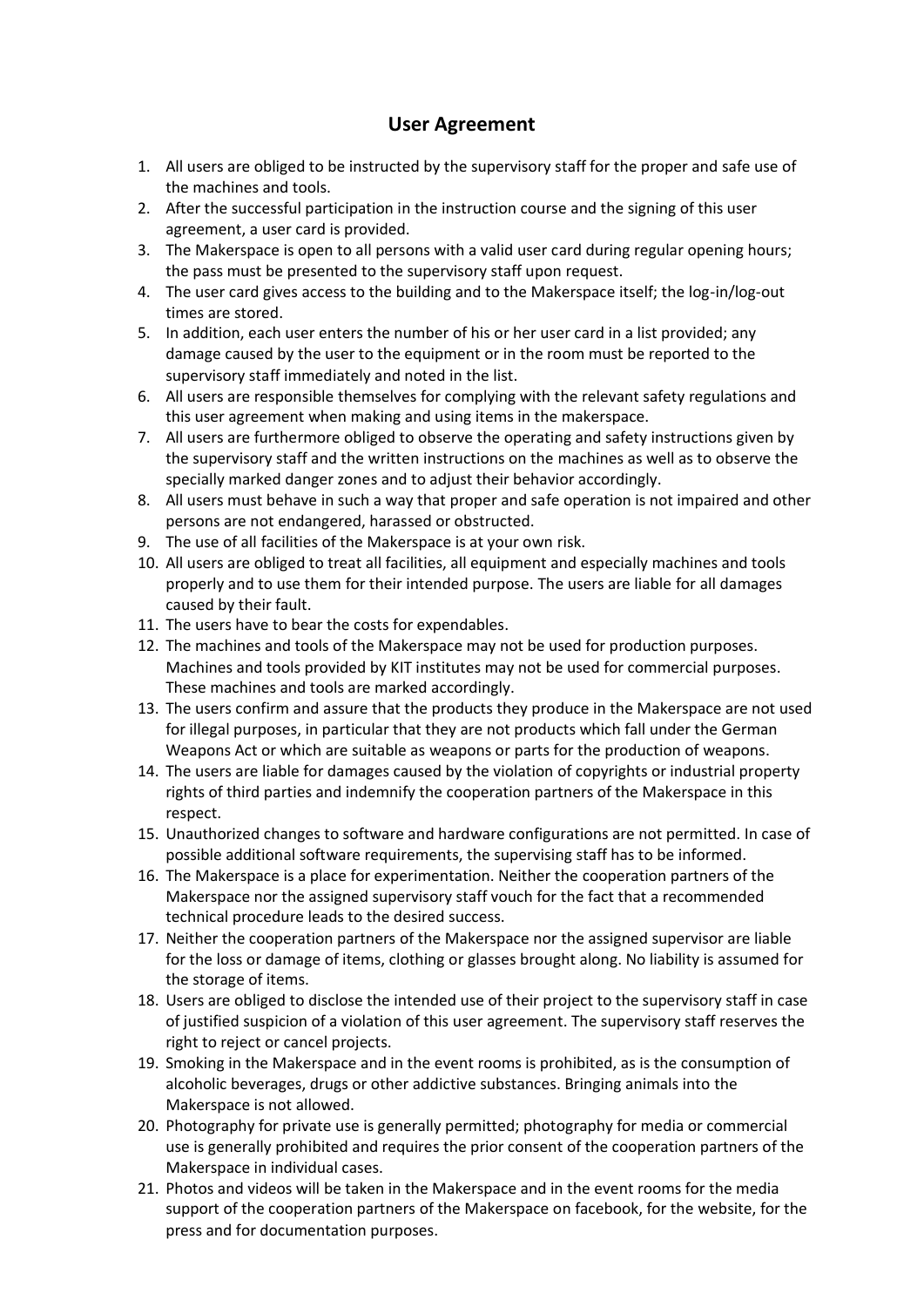## **User Agreement**

- 1. All users are obliged to be instructed by the supervisory staff for the proper and safe use of the machines and tools.
- 2. After the successful participation in the instruction course and the signing of this user agreement, a user card is provided.
- 3. The Makerspace is open to all persons with a valid user card during regular opening hours; the pass must be presented to the supervisory staff upon request.
- 4. The user card gives access to the building and to the Makerspace itself; the log-in/log-out times are stored.
- 5. In addition, each user enters the number of his or her user card in a list provided; any damage caused by the user to the equipment or in the room must be reported to the supervisory staff immediately and noted in the list.
- 6. All users are responsible themselves for complying with the relevant safety regulations and this user agreement when making and using items in the makerspace.
- 7. All users are furthermore obliged to observe the operating and safety instructions given by the supervisory staff and the written instructions on the machines as well as to observe the specially marked danger zones and to adjust their behavior accordingly.
- 8. All users must behave in such a way that proper and safe operation is not impaired and other persons are not endangered, harassed or obstructed.
- 9. The use of all facilities of the Makerspace is at your own risk.
- 10. All users are obliged to treat all facilities, all equipment and especially machines and tools properly and to use them for their intended purpose. The users are liable for all damages caused by their fault.
- 11. The users have to bear the costs for expendables.
- 12. The machines and tools of the Makerspace may not be used for production purposes. Machines and tools provided by KIT institutes may not be used for commercial purposes. These machines and tools are marked accordingly.
- 13. The users confirm and assure that the products they produce in the Makerspace are not used for illegal purposes, in particular that they are not products which fall under the German Weapons Act or which are suitable as weapons or parts for the production of weapons.
- 14. The users are liable for damages caused by the violation of copyrights or industrial property rights of third parties and indemnify the cooperation partners of the Makerspace in this respect.
- 15. Unauthorized changes to software and hardware configurations are not permitted. In case of possible additional software requirements, the supervising staff has to be informed.
- 16. The Makerspace is a place for experimentation. Neither the cooperation partners of the Makerspace nor the assigned supervisory staff vouch for the fact that a recommended technical procedure leads to the desired success.
- 17. Neither the cooperation partners of the Makerspace nor the assigned supervisor are liable for the loss or damage of items, clothing or glasses brought along. No liability is assumed for the storage of items.
- 18. Users are obliged to disclose the intended use of their project to the supervisory staff in case of justified suspicion of a violation of this user agreement. The supervisory staff reserves the right to reject or cancel projects.
- 19. Smoking in the Makerspace and in the event rooms is prohibited, as is the consumption of alcoholic beverages, drugs or other addictive substances. Bringing animals into the Makerspace is not allowed.
- 20. Photography for private use is generally permitted; photography for media or commercial use is generally prohibited and requires the prior consent of the cooperation partners of the Makerspace in individual cases.
- 21. Photos and videos will be taken in the Makerspace and in the event rooms for the media support of the cooperation partners of the Makerspace on facebook, for the website, for the press and for documentation purposes.